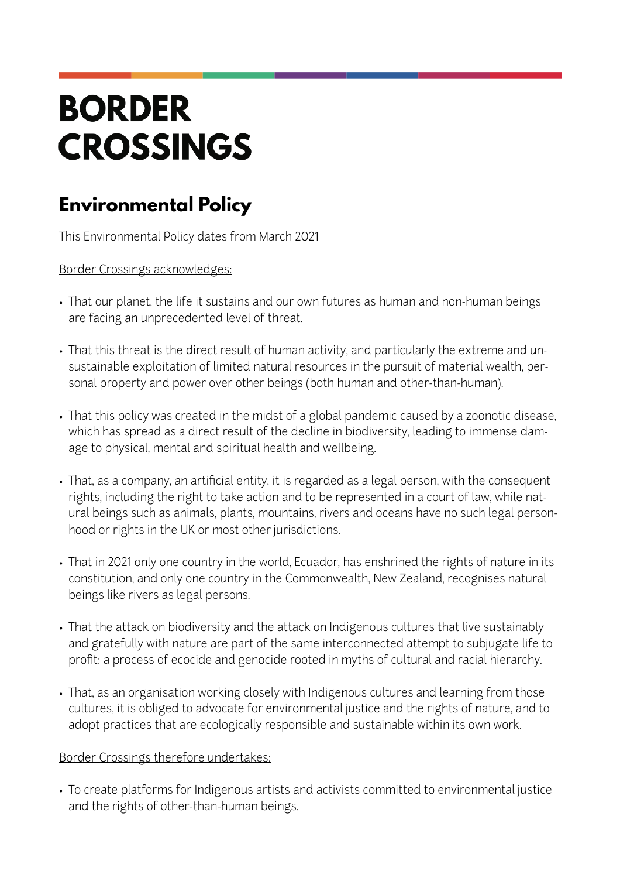## **BORDER CROSSINGS**

## **Environmental Policy**

This Environmental Policy dates from March 2021

Border Crossings acknowledges:

- That our planet, the life it sustains and our own futures as human and non-human beings are facing an unprecedented level of threat.
- That this threat is the direct result of human activity, and particularly the extreme and unsustainable exploitation of limited natural resources in the pursuit of material wealth, personal property and power over other beings (both human and other-than-human).
- That this policy was created in the midst of a global pandemic caused by a zoonotic disease, which has spread as a direct result of the decline in biodiversity, leading to immense damage to physical, mental and spiritual health and wellbeing.
- That, as a company, an artificial entity, it is regarded as a legal person, with the consequent rights, including the right to take action and to be represented in a court of law, while natural beings such as animals, plants, mountains, rivers and oceans have no such legal personhood or rights in the UK or most other jurisdictions.
- That in 2021 only one country in the world, Ecuador, has enshrined the rights of nature in its constitution, and only one country in the Commonwealth, New Zealand, recognises natural beings like rivers as legal persons.
- That the attack on biodiversity and the attack on Indigenous cultures that live sustainably and gratefully with nature are part of the same interconnected attempt to subjugate life to profit: a process of ecocide and genocide rooted in myths of cultural and racial hierarchy.
- That, as an organisation working closely with Indigenous cultures and learning from those cultures, it is obliged to advocate for environmental justice and the rights of nature, and to adopt practices that are ecologically responsible and sustainable within its own work.

## Border Crossings therefore undertakes:

• To create platforms for Indigenous artists and activists committed to environmental justice and the rights of other-than-human beings.